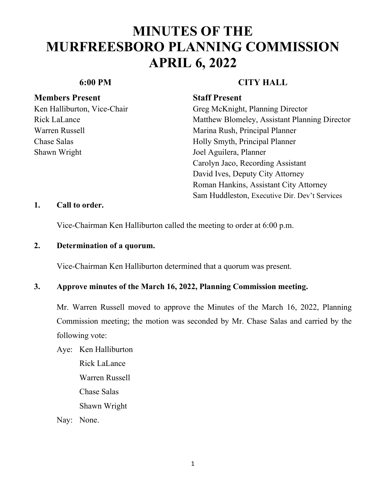### **Members Present Staff Present**

Shawn Wright **Internal Shawn Wright** Joel Aguilera, Planner

### **6:00 PM CITY HALL**

Ken Halliburton, Vice-Chair Greg McKnight, Planning Director Rick LaLance Matthew Blomeley, Assistant Planning Director Warren Russell Marina Rush, Principal Planner Chase Salas **Holly Smyth, Principal Planner**  Carolyn Jaco, Recording Assistant David Ives, Deputy City Attorney Roman Hankins, Assistant City Attorney Sam Huddleston, Executive Dir. Dev't Services

### **1. Call to order.**

Vice-Chairman Ken Halliburton called the meeting to order at 6:00 p.m.

### **2. Determination of a quorum.**

Vice-Chairman Ken Halliburton determined that a quorum was present.

### **3. Approve minutes of the March 16, 2022, Planning Commission meeting.**

Mr. Warren Russell moved to approve the Minutes of the March 16, 2022, Planning Commission meeting; the motion was seconded by Mr. Chase Salas and carried by the following vote:

Aye: Ken Halliburton Rick LaLance Warren Russell Chase Salas Shawn Wright

Nay: None.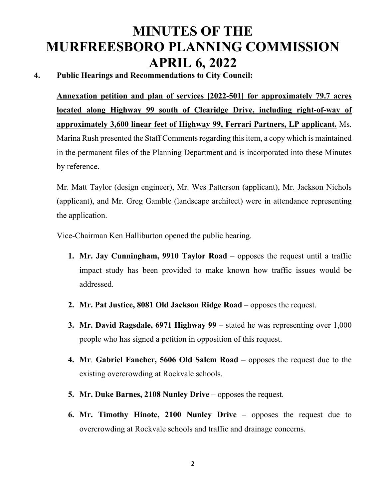### **4. Public Hearings and Recommendations to City Council:**

**Annexation petition and plan of services [2022-501] for approximately 79.7 acres located along Highway 99 south of Clearidge Drive, including right-of-way of approximately 3,600 linear feet of Highway 99, Ferrari Partners, LP applicant.** Ms. Marina Rush presented the Staff Comments regarding this item, a copy which is maintained in the permanent files of the Planning Department and is incorporated into these Minutes by reference.

Mr. Matt Taylor (design engineer), Mr. Wes Patterson (applicant), Mr. Jackson Nichols (applicant), and Mr. Greg Gamble (landscape architect) were in attendance representing the application.

Vice-Chairman Ken Halliburton opened the public hearing.

- **1. Mr. Jay Cunningham, 9910 Taylor Road** opposes the request until a traffic impact study has been provided to make known how traffic issues would be addressed.
- **2. Mr. Pat Justice, 8081 Old Jackson Ridge Road** opposes the request.
- **3. Mr. David Ragsdale, 6971 Highway 99** stated he was representing over 1,000 people who has signed a petition in opposition of this request.
- **4. Mr**. **Gabriel Fancher, 5606 Old Salem Road** opposes the request due to the existing overcrowding at Rockvale schools.
- **5. Mr. Duke Barnes, 2108 Nunley Drive** opposes the request.
- **6. Mr. Timothy Hinote, 2100 Nunley Drive** opposes the request due to overcrowding at Rockvale schools and traffic and drainage concerns.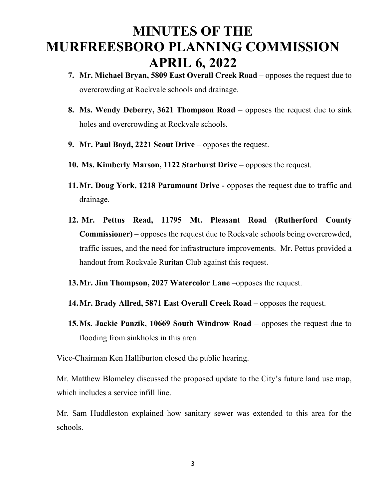- **7.** Mr. Michael Bryan, 5809 East Overall Creek Road opposes the request due to overcrowding at Rockvale schools and drainage.
- **8. Ms. Wendy Deberry, 3621 Thompson Road**  opposes the request due to sink holes and overcrowding at Rockvale schools.
- **9. Mr. Paul Boyd, 2221 Scout Drive** opposes the request.
- **10. Ms. Kimberly Marson, 1122 Starhurst Drive** opposes the request.
- **11.Mr. Doug York, 1218 Paramount Drive** opposes the request due to traffic and drainage.
- **12. Mr. Pettus Read, 11795 Mt. Pleasant Road (Rutherford County Commissioner) –** opposes the request due to Rockvale schools being overcrowded, traffic issues, and the need for infrastructure improvements. Mr. Pettus provided a handout from Rockvale Ruritan Club against this request.
- **13.Mr. Jim Thompson, 2027 Watercolor Lane** –opposes the request.
- **14.Mr. Brady Allred, 5871 East Overall Creek Road** opposes the request.
- **15.Ms. Jackie Panzik, 10669 South Windrow Road** opposes the request due to flooding from sinkholes in this area.

Vice-Chairman Ken Halliburton closed the public hearing.

Mr. Matthew Blomeley discussed the proposed update to the City's future land use map, which includes a service infill line.

Mr. Sam Huddleston explained how sanitary sewer was extended to this area for the schools.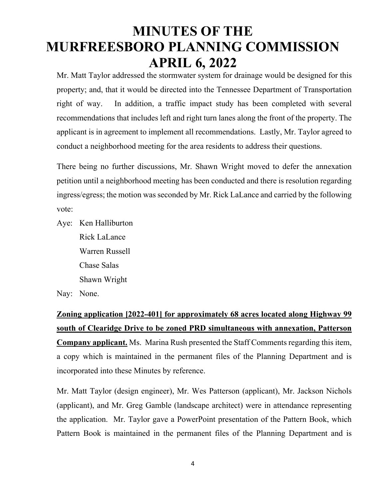Mr. Matt Taylor addressed the stormwater system for drainage would be designed for this property; and, that it would be directed into the Tennessee Department of Transportation right of way. In addition, a traffic impact study has been completed with several recommendations that includes left and right turn lanes along the front of the property. The applicant is in agreement to implement all recommendations. Lastly, Mr. Taylor agreed to conduct a neighborhood meeting for the area residents to address their questions.

There being no further discussions, Mr. Shawn Wright moved to defer the annexation petition until a neighborhood meeting has been conducted and there is resolution regarding ingress/egress; the motion was seconded by Mr. Rick LaLance and carried by the following vote:

Aye: Ken Halliburton Rick LaLance Warren Russell Chase Salas Shawn Wright

Nay: None.

## **Zoning application [2022-401] for approximately 68 acres located along Highway 99 south of Clearidge Drive to be zoned PRD simultaneous with annexation, Patterson Company applicant.** Ms. Marina Rush presented the Staff Comments regarding this item, a copy which is maintained in the permanent files of the Planning Department and is incorporated into these Minutes by reference.

Mr. Matt Taylor (design engineer), Mr. Wes Patterson (applicant), Mr. Jackson Nichols (applicant), and Mr. Greg Gamble (landscape architect) were in attendance representing the application. Mr. Taylor gave a PowerPoint presentation of the Pattern Book, which Pattern Book is maintained in the permanent files of the Planning Department and is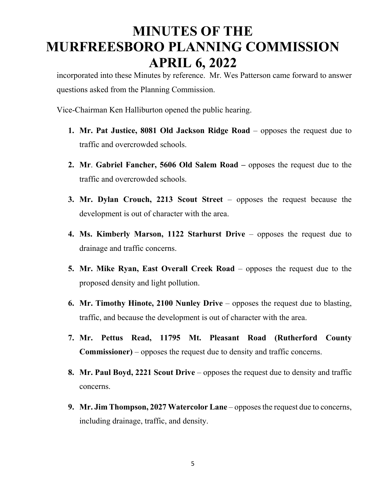incorporated into these Minutes by reference. Mr. Wes Patterson came forward to answer questions asked from the Planning Commission.

Vice-Chairman Ken Halliburton opened the public hearing.

- **1. Mr. Pat Justice, 8081 Old Jackson Ridge Road** opposes the request due to traffic and overcrowded schools.
- **2. Mr**. **Gabriel Fancher, 5606 Old Salem Road** opposes the request due to the traffic and overcrowded schools.
- **3. Mr. Dylan Crouch, 2213 Scout Street**  opposes the request because the development is out of character with the area.
- **4. Ms. Kimberly Marson, 1122 Starhurst Drive**  opposes the request due to drainage and traffic concerns.
- **5. Mr. Mike Ryan, East Overall Creek Road**  opposes the request due to the proposed density and light pollution.
- **6. Mr. Timothy Hinote, 2100 Nunley Drive**  opposes the request due to blasting, traffic, and because the development is out of character with the area.
- **7. Mr. Pettus Read, 11795 Mt. Pleasant Road (Rutherford County Commissioner)** – opposes the request due to density and traffic concerns.
- **8. Mr. Paul Boyd, 2221 Scout Drive**  opposes the request due to density and traffic concerns.
- **9. Mr. Jim Thompson, 2027 Watercolor Lane**  opposes the request due to concerns, including drainage, traffic, and density.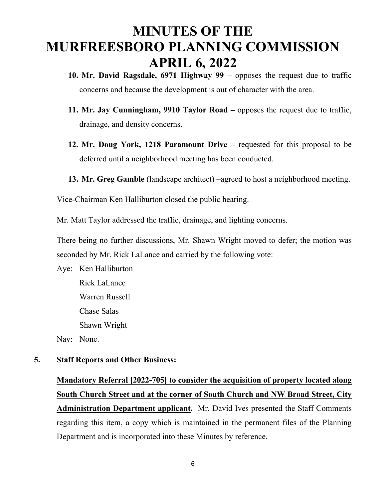- **10. Mr. David Ragsdale, 6971 Highway 99**  opposes the request due to traffic concerns and because the development is out of character with the area.
- **11. Mr. Jay Cunningham, 9910 Taylor Road** opposes the request due to traffic, drainage, and density concerns.
- **12. Mr. Doug York, 1218 Paramount Drive** requested for this proposal to be deferred until a neighborhood meeting has been conducted.
- **13. Mr. Greg Gamble** (landscape architect) **–**agreed to host a neighborhood meeting.

Vice-Chairman Ken Halliburton closed the public hearing.

Mr. Matt Taylor addressed the traffic, drainage, and lighting concerns.

There being no further discussions, Mr. Shawn Wright moved to defer; the motion was seconded by Mr. Rick LaLance and carried by the following vote:

Aye: Ken Halliburton Rick LaLance Warren Russell Chase Salas Shawn Wright Nay: None.

#### **5. Staff Reports and Other Business:**

**Mandatory Referral [2022-705] to consider the acquisition of property located along South Church Street and at the corner of South Church and NW Broad Street, City Administration Department applicant.** Mr. David Ives presented the Staff Comments regarding this item, a copy which is maintained in the permanent files of the Planning Department and is incorporated into these Minutes by reference.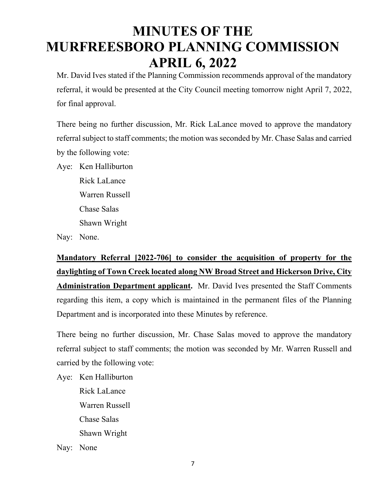Mr. David Ives stated if the Planning Commission recommends approval of the mandatory referral, it would be presented at the City Council meeting tomorrow night April 7, 2022, for final approval.

There being no further discussion, Mr. Rick LaLance moved to approve the mandatory referral subject to staff comments; the motion was seconded by Mr. Chase Salas and carried by the following vote:

Aye: Ken Halliburton

Rick LaLance Warren Russell Chase Salas Shawn Wright

Nay: None.

**Mandatory Referral [2022-706] to consider the acquisition of property for the daylighting of Town Creek located along NW Broad Street and Hickerson Drive, City Administration Department applicant.** Mr. David Ives presented the Staff Comments regarding this item, a copy which is maintained in the permanent files of the Planning Department and is incorporated into these Minutes by reference.

There being no further discussion, Mr. Chase Salas moved to approve the mandatory referral subject to staff comments; the motion was seconded by Mr. Warren Russell and carried by the following vote:

Aye: Ken Halliburton Rick LaLance Warren Russell Chase Salas Shawn Wright Nay: None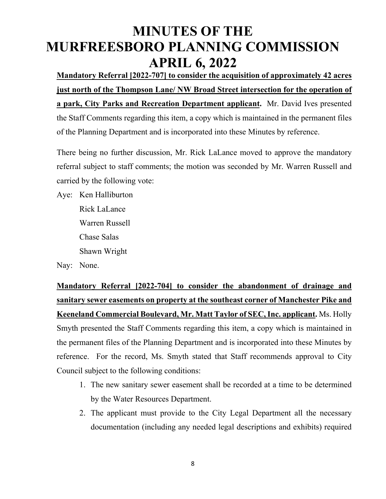**Mandatory Referral [2022-707] to consider the acquisition of approximately 42 acres just north of the Thompson Lane/ NW Broad Street intersection for the operation of a park, City Parks and Recreation Department applicant.** Mr. David Ives presented the Staff Comments regarding this item, a copy which is maintained in the permanent files of the Planning Department and is incorporated into these Minutes by reference.

There being no further discussion, Mr. Rick LaLance moved to approve the mandatory referral subject to staff comments; the motion was seconded by Mr. Warren Russell and carried by the following vote:

Aye: Ken Halliburton Rick LaLance Warren Russell Chase Salas Shawn Wright

Nay: None.

**Mandatory Referral [2022-704] to consider the abandonment of drainage and sanitary sewer easements on property at the southeast corner of Manchester Pike and Keeneland Commercial Boulevard, Mr. Matt Taylor of SEC, Inc. applicant.** Ms. Holly Smyth presented the Staff Comments regarding this item, a copy which is maintained in the permanent files of the Planning Department and is incorporated into these Minutes by reference. For the record, Ms. Smyth stated that Staff recommends approval to City Council subject to the following conditions:

- 1. The new sanitary sewer easement shall be recorded at a time to be determined by the Water Resources Department.
- 2. The applicant must provide to the City Legal Department all the necessary documentation (including any needed legal descriptions and exhibits) required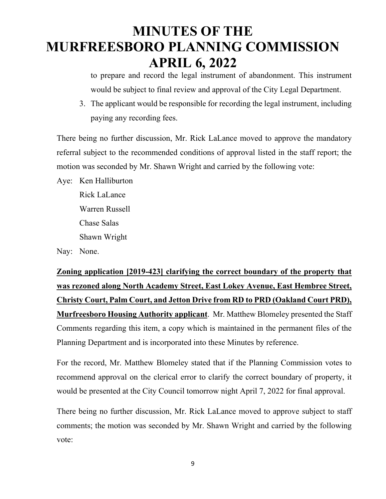to prepare and record the legal instrument of abandonment. This instrument would be subject to final review and approval of the City Legal Department.

3. The applicant would be responsible for recording the legal instrument, including paying any recording fees.

There being no further discussion, Mr. Rick LaLance moved to approve the mandatory referral subject to the recommended conditions of approval listed in the staff report; the motion was seconded by Mr. Shawn Wright and carried by the following vote:

Aye: Ken Halliburton

Rick LaLance Warren Russell Chase Salas Shawn Wright

Nay: None.

**Zoning application [2019-423] clarifying the correct boundary of the property that was rezoned along North Academy Street, East Lokey Avenue, East Hembree Street, Christy Court, Palm Court, and Jetton Drive from RD to PRD (Oakland Court PRD), Murfreesboro Housing Authority applicant**. Mr. Matthew Blomeley presented the Staff Comments regarding this item, a copy which is maintained in the permanent files of the Planning Department and is incorporated into these Minutes by reference.

For the record, Mr. Matthew Blomeley stated that if the Planning Commission votes to recommend approval on the clerical error to clarify the correct boundary of property, it would be presented at the City Council tomorrow night April 7, 2022 for final approval.

There being no further discussion, Mr. Rick LaLance moved to approve subject to staff comments; the motion was seconded by Mr. Shawn Wright and carried by the following vote: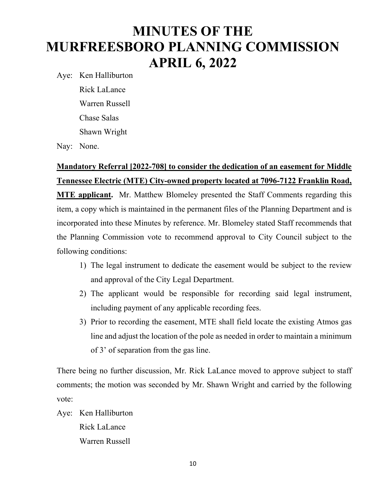Aye: Ken Halliburton

 Rick LaLance Warren Russell Chase Salas Shawn Wright

Nay: None.

### **Mandatory Referral [2022-708] to consider the dedication of an easement for Middle Tennessee Electric (MTE) City-owned property located at 7096-7122 Franklin Road,**

**MTE applicant.** Mr. Matthew Blomeley presented the Staff Comments regarding this item, a copy which is maintained in the permanent files of the Planning Department and is incorporated into these Minutes by reference. Mr. Blomeley stated Staff recommends that the Planning Commission vote to recommend approval to City Council subject to the following conditions:

- 1) The legal instrument to dedicate the easement would be subject to the review and approval of the City Legal Department.
- 2) The applicant would be responsible for recording said legal instrument, including payment of any applicable recording fees.
- 3) Prior to recording the easement, MTE shall field locate the existing Atmos gas line and adjust the location of the pole as needed in order to maintain a minimum of 3' of separation from the gas line.

There being no further discussion, Mr. Rick LaLance moved to approve subject to staff comments; the motion was seconded by Mr. Shawn Wright and carried by the following vote:

Aye: Ken Halliburton Rick LaLance Warren Russell